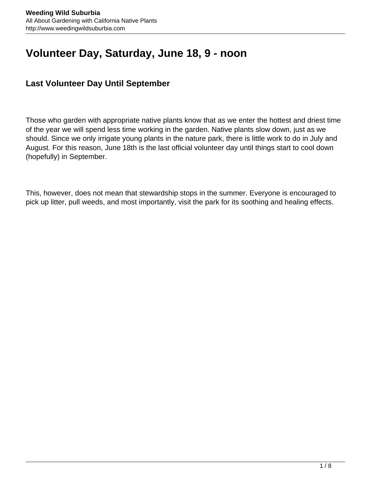# **Volunteer Day, Saturday, June 18, 9 - noon**

# **Last Volunteer Day Until September**

Those who garden with appropriate native plants know that as we enter the hottest and driest time of the year we will spend less time working in the garden. Native plants slow down, just as we should. Since we only irrigate young plants in the nature park, there is little work to do in July and August. For this reason, June 18th is the last official volunteer day until things start to cool down (hopefully) in September.

This, however, does not mean that stewardship stops in the summer. Everyone is encouraged to pick up litter, pull weeds, and most importantly, visit the park for its soothing and healing effects.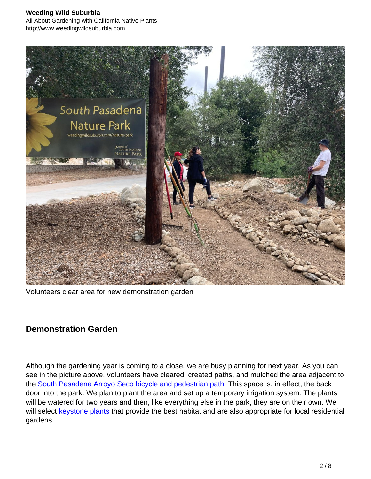#### **Weeding Wild Suburbia** All About Gardening with California Native Plants http://www.weedingwildsuburbia.com



Volunteers clear area for new demonstration garden

### **Demonstration Garden**

Although the gardening year is coming to a close, we are busy planning for next year. As you can see in the picture above, volunteers have cleared, created paths, and mulched the area adjacent to the [South Pasadena Arroyo Seco bicycle and pedestrian path](https://southpasadenan.com/bicycle-pedestrian-trail-grand-opening-of-arroyo-seco-is-official/). This space is, in effect, the back door into the park. We plan to plant the area and set up a temporary irrigation system. The plants will be watered for two years and then, like everything else in the park, they are on their own. We will select keystone plants that provide the best habitat and are also appropriate for local residential gardens.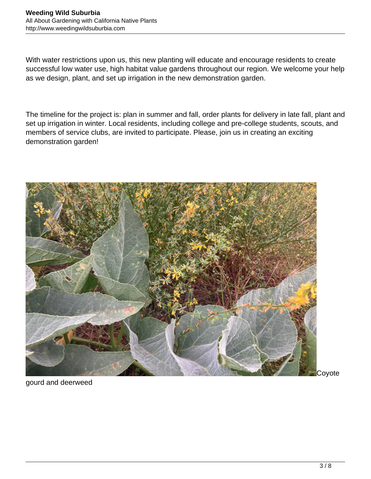With water restrictions upon us, this new planting will educate and encourage residents to create successful low water use, high habitat value gardens throughout our region. We welcome your help as we design, plant, and set up irrigation in the new demonstration garden.

The timeline for the project is: plan in summer and fall, order plants for delivery in late fall, plant and set up irrigation in winter. Local residents, including college and pre-college students, scouts, and members of service clubs, are invited to participate. Please, join us in creating an exciting demonstration garden!



gourd and deerweed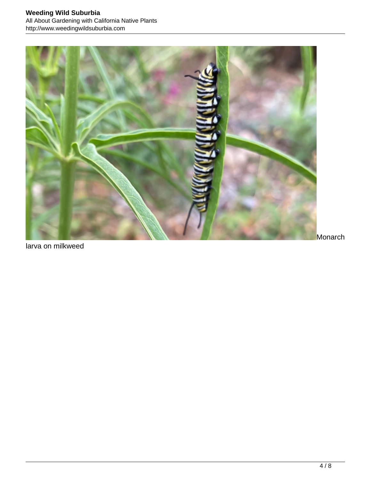

larva on milkweed

Monarch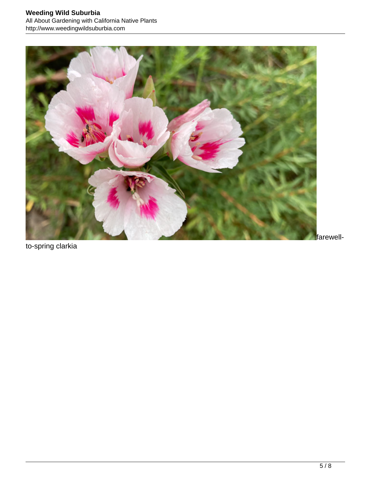

to-spring clarkia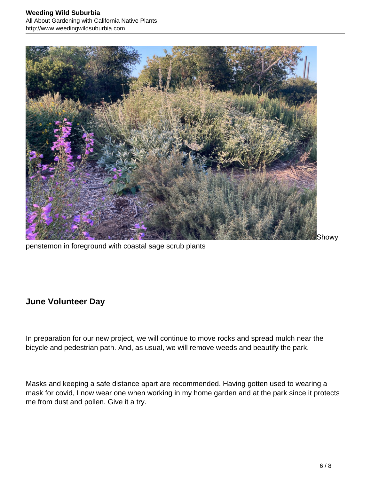

penstemon in foreground with coastal sage scrub plants

### **June Volunteer Day**

In preparation for our new project, we will continue to move rocks and spread mulch near the bicycle and pedestrian path. And, as usual, we will remove weeds and beautify the park.

Masks and keeping a safe distance apart are recommended. Having gotten used to wearing a mask for covid, I now wear one when working in my home garden and at the park since it protects me from dust and pollen. Give it a try.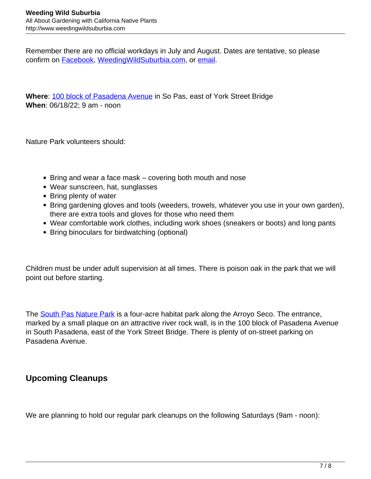Remember there are no official workdays in July and August. Dates are tentative, so please confirm on **Facebook**, WeedingWildSuburbia.com, or email.

Where: 100 block of Pasadena Avenue in So Pas, east of York Street Bridge **When**: 06/18/22; 9 am - noon

Nature Park volunteers should:

- Bring and wear a face mask covering both mouth and nose
- Wear sunscreen, hat, sunglasses
- Bring plenty of water
- Bring gardening gloves and tools (weeders, trowels, whatever you use in your own garden), there are extra tools and gloves for those who need them
- Wear comfortable work clothes, including work shoes (sneakers or boots) and long pants
- Bring binoculars for birdwatching (optional)

Children must be under adult supervision at all times. There is poison oak in the park that we will point out before starting.

The **South Pas Nature Park** is a four-acre habitat park along the Arroyo Seco. The entrance, marked by a small plaque on an attractive river rock wall, is in the 100 block of Pasadena Avenue in South Pasadena, east of the York Street Bridge. There is plenty of on-street parking on Pasadena Avenue.

## **Upcoming Cleanups**

We are planning to hold our regular park cleanups on the following Saturdays (9am - noon):